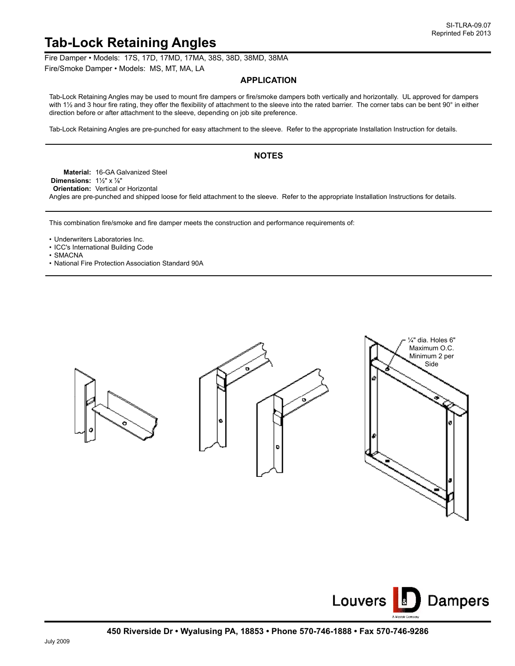## **Tab-Lock Retaining Angles**

Fire Damper • Models: 17S, 17D, 17MD, 17MA, 38S, 38D, 38MD, 38MA

Fire/Smoke Damper • Models: MS, MT, MA, LA

## **APPLICATION**

Tab-Lock Retaining Angles may be used to mount fire dampers or fire/smoke dampers both vertically and horizontally. UL approved for dampers with 1½ and 3 hour fire rating, they offer the flexibility of attachment to the sleeve into the rated barrier. The corner tabs can be bent 90° in either direction before or after attachment to the sleeve, depending on job site preference.

Tab-Lock Retaining Angles are pre-punched for easy attachment to the sleeve. Refer to the appropriate Installation Instruction for details.

## **NOTES**

**Material:** 16-GA Galvanized Steel **Dimensions:** 1½" x ⅞" **Orientation:** Vertical or Horizontal Angles are pre-punched and shipped loose for field attachment to the sleeve. Refer to the appropriate Installation Instructions for details.

This combination fire/smoke and fire damper meets the construction and performance requirements of:

• Underwriters Laboratories Inc.

- ICC's International Building Code
- SMACNA
- National Fire Protection Association Standard 90A